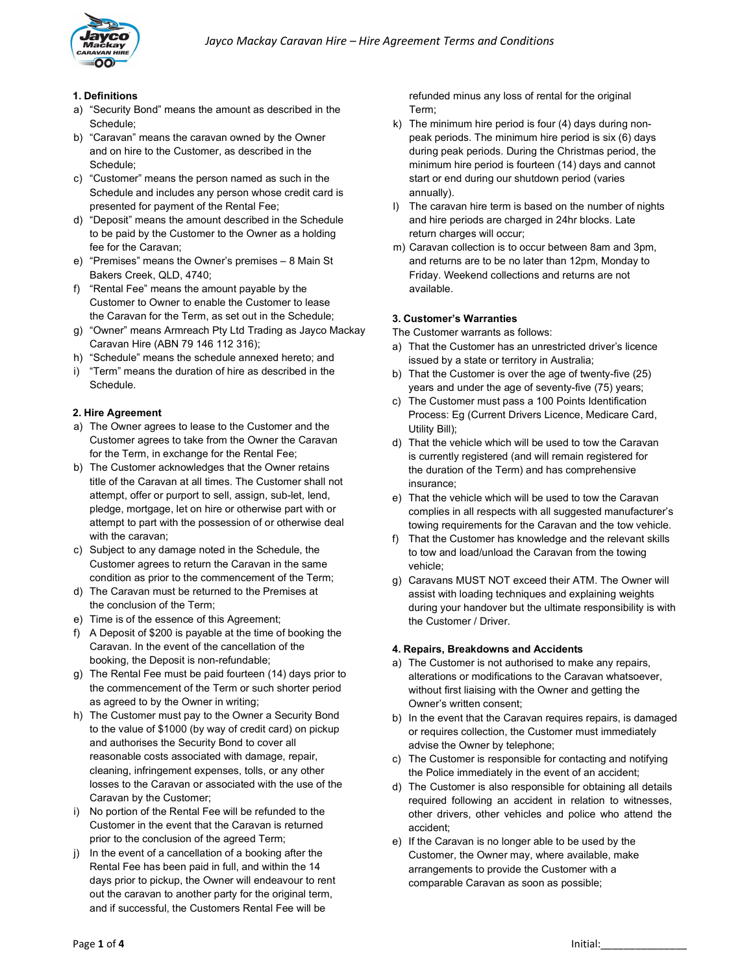

### 1. Definitions

- a) "Security Bond" means the amount as described in the Schedule;
- b) "Caravan" means the caravan owned by the Owner and on hire to the Customer, as described in the Schedule;
- c) "Customer" means the person named as such in the Schedule and includes any person whose credit card is presented for payment of the Rental Fee;
- d) "Deposit" means the amount described in the Schedule to be paid by the Customer to the Owner as a holding fee for the Caravan;
- e) "Premises" means the Owner's premises 8 Main St Bakers Creek, QLD, 4740;
- f) "Rental Fee" means the amount payable by the Customer to Owner to enable the Customer to lease the Caravan for the Term, as set out in the Schedule;
- g) "Owner" means Armreach Pty Ltd Trading as Jayco Mackay Caravan Hire (ABN 79 146 112 316);
- h) "Schedule" means the schedule annexed hereto; and
- i) "Term" means the duration of hire as described in the Schedule.

#### 2. Hire Agreement

- a) The Owner agrees to lease to the Customer and the Customer agrees to take from the Owner the Caravan for the Term, in exchange for the Rental Fee;
- b) The Customer acknowledges that the Owner retains title of the Caravan at all times. The Customer shall not attempt, offer or purport to sell, assign, sub-let, lend, pledge, mortgage, let on hire or otherwise part with or attempt to part with the possession of or otherwise deal with the caravan;
- c) Subject to any damage noted in the Schedule, the Customer agrees to return the Caravan in the same condition as prior to the commencement of the Term;
- d) The Caravan must be returned to the Premises at the conclusion of the Term;
- e) Time is of the essence of this Agreement;
- f) A Deposit of \$200 is payable at the time of booking the Caravan. In the event of the cancellation of the booking, the Deposit is non-refundable;
- g) The Rental Fee must be paid fourteen (14) days prior to the commencement of the Term or such shorter period as agreed to by the Owner in writing;
- h) The Customer must pay to the Owner a Security Bond to the value of \$1000 (by way of credit card) on pickup and authorises the Security Bond to cover all reasonable costs associated with damage, repair, cleaning, infringement expenses, tolls, or any other losses to the Caravan or associated with the use of the Caravan by the Customer;
- i) No portion of the Rental Fee will be refunded to the Customer in the event that the Caravan is returned prior to the conclusion of the agreed Term;
- j) In the event of a cancellation of a booking after the Rental Fee has been paid in full, and within the 14 days prior to pickup, the Owner will endeavour to rent out the caravan to another party for the original term, and if successful, the Customers Rental Fee will be

refunded minus any loss of rental for the original Term;

- k) The minimum hire period is four (4) days during nonpeak periods. The minimum hire period is six (6) days during peak periods. During the Christmas period, the minimum hire period is fourteen (14) days and cannot start or end during our shutdown period (varies annually).
- l) The caravan hire term is based on the number of nights and hire periods are charged in 24hr blocks. Late return charges will occur;
- m) Caravan collection is to occur between 8am and 3pm, and returns are to be no later than 12pm, Monday to Friday. Weekend collections and returns are not available.

### 3. Customer's Warranties

The Customer warrants as follows:

- a) That the Customer has an unrestricted driver's licence issued by a state or territory in Australia;
- b) That the Customer is over the age of twenty-five (25) years and under the age of seventy-five (75) years;
- c) The Customer must pass a 100 Points Identification Process: Eg (Current Drivers Licence, Medicare Card, Utility Bill);
- d) That the vehicle which will be used to tow the Caravan is currently registered (and will remain registered for the duration of the Term) and has comprehensive insurance;
- e) That the vehicle which will be used to tow the Caravan complies in all respects with all suggested manufacturer's towing requirements for the Caravan and the tow vehicle.
- f) That the Customer has knowledge and the relevant skills to tow and load/unload the Caravan from the towing vehicle;
- g) Caravans MUST NOT exceed their ATM. The Owner will assist with loading techniques and explaining weights during your handover but the ultimate responsibility is with the Customer / Driver.

### 4. Repairs, Breakdowns and Accidents

- a) The Customer is not authorised to make any repairs, alterations or modifications to the Caravan whatsoever, without first liaising with the Owner and getting the Owner's written consent;
- b) In the event that the Caravan requires repairs, is damaged or requires collection, the Customer must immediately advise the Owner by telephone;
- c) The Customer is responsible for contacting and notifying the Police immediately in the event of an accident;
- d) The Customer is also responsible for obtaining all details required following an accident in relation to witnesses, other drivers, other vehicles and police who attend the accident;
- e) If the Caravan is no longer able to be used by the Customer, the Owner may, where available, make arrangements to provide the Customer with a comparable Caravan as soon as possible;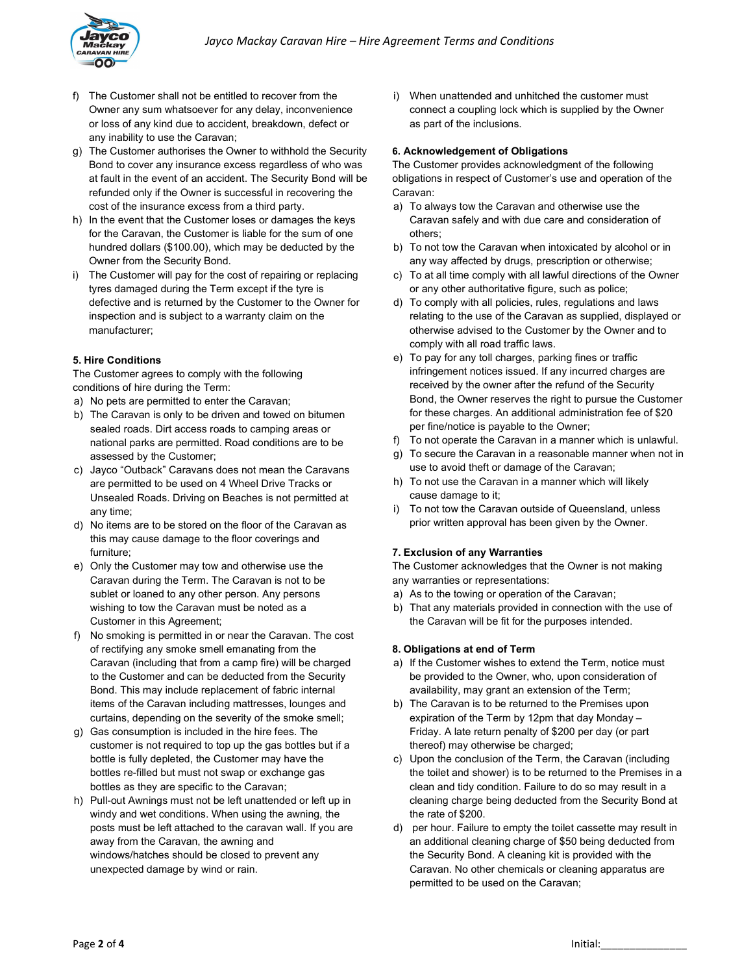

- f) The Customer shall not be entitled to recover from the Owner any sum whatsoever for any delay, inconvenience or loss of any kind due to accident, breakdown, defect or any inability to use the Caravan;
- g) The Customer authorises the Owner to withhold the Security Bond to cover any insurance excess regardless of who was at fault in the event of an accident. The Security Bond will be refunded only if the Owner is successful in recovering the cost of the insurance excess from a third party.
- h) In the event that the Customer loses or damages the keys for the Caravan, the Customer is liable for the sum of one hundred dollars (\$100.00), which may be deducted by the Owner from the Security Bond.
- i) The Customer will pay for the cost of repairing or replacing tyres damaged during the Term except if the tyre is defective and is returned by the Customer to the Owner for inspection and is subject to a warranty claim on the manufacturer;

## 5. Hire Conditions

The Customer agrees to comply with the following conditions of hire during the Term:

- a) No pets are permitted to enter the Caravan;
- b) The Caravan is only to be driven and towed on bitumen sealed roads. Dirt access roads to camping areas or national parks are permitted. Road conditions are to be assessed by the Customer;
- c) Jayco "Outback" Caravans does not mean the Caravans are permitted to be used on 4 Wheel Drive Tracks or Unsealed Roads. Driving on Beaches is not permitted at any time;
- d) No items are to be stored on the floor of the Caravan as this may cause damage to the floor coverings and furniture;
- e) Only the Customer may tow and otherwise use the Caravan during the Term. The Caravan is not to be sublet or loaned to any other person. Any persons wishing to tow the Caravan must be noted as a Customer in this Agreement;
- f) No smoking is permitted in or near the Caravan. The cost of rectifying any smoke smell emanating from the Caravan (including that from a camp fire) will be charged to the Customer and can be deducted from the Security Bond. This may include replacement of fabric internal items of the Caravan including mattresses, lounges and curtains, depending on the severity of the smoke smell;
- g) Gas consumption is included in the hire fees. The customer is not required to top up the gas bottles but if a bottle is fully depleted, the Customer may have the bottles re-filled but must not swap or exchange gas bottles as they are specific to the Caravan;
- h) Pull-out Awnings must not be left unattended or left up in windy and wet conditions. When using the awning, the posts must be left attached to the caravan wall. If you are away from the Caravan, the awning and windows/hatches should be closed to prevent any unexpected damage by wind or rain.

i) When unattended and unhitched the customer must connect a coupling lock which is supplied by the Owner as part of the inclusions.

### 6. Acknowledgement of Obligations

The Customer provides acknowledgment of the following obligations in respect of Customer's use and operation of the Caravan:

- a) To always tow the Caravan and otherwise use the Caravan safely and with due care and consideration of others;
- b) To not tow the Caravan when intoxicated by alcohol or in any way affected by drugs, prescription or otherwise;
- c) To at all time comply with all lawful directions of the Owner or any other authoritative figure, such as police;
- d) To comply with all policies, rules, regulations and laws relating to the use of the Caravan as supplied, displayed or otherwise advised to the Customer by the Owner and to comply with all road traffic laws.
- e) To pay for any toll charges, parking fines or traffic infringement notices issued. If any incurred charges are received by the owner after the refund of the Security Bond, the Owner reserves the right to pursue the Customer for these charges. An additional administration fee of \$20 per fine/notice is payable to the Owner;
- f) To not operate the Caravan in a manner which is unlawful.
- g) To secure the Caravan in a reasonable manner when not in use to avoid theft or damage of the Caravan;
- h) To not use the Caravan in a manner which will likely cause damage to it;
- i) To not tow the Caravan outside of Queensland, unless prior written approval has been given by the Owner.

# 7. Exclusion of any Warranties

The Customer acknowledges that the Owner is not making any warranties or representations:

- a) As to the towing or operation of the Caravan;
- b) That any materials provided in connection with the use of the Caravan will be fit for the purposes intended.

# 8. Obligations at end of Term

- a) If the Customer wishes to extend the Term, notice must be provided to the Owner, who, upon consideration of availability, may grant an extension of the Term;
- b) The Caravan is to be returned to the Premises upon expiration of the Term by 12pm that day Monday – Friday. A late return penalty of \$200 per day (or part thereof) may otherwise be charged;
- c) Upon the conclusion of the Term, the Caravan (including the toilet and shower) is to be returned to the Premises in a clean and tidy condition. Failure to do so may result in a cleaning charge being deducted from the Security Bond at the rate of \$200.
- d) per hour. Failure to empty the toilet cassette may result in an additional cleaning charge of \$50 being deducted from the Security Bond. A cleaning kit is provided with the Caravan. No other chemicals or cleaning apparatus are permitted to be used on the Caravan;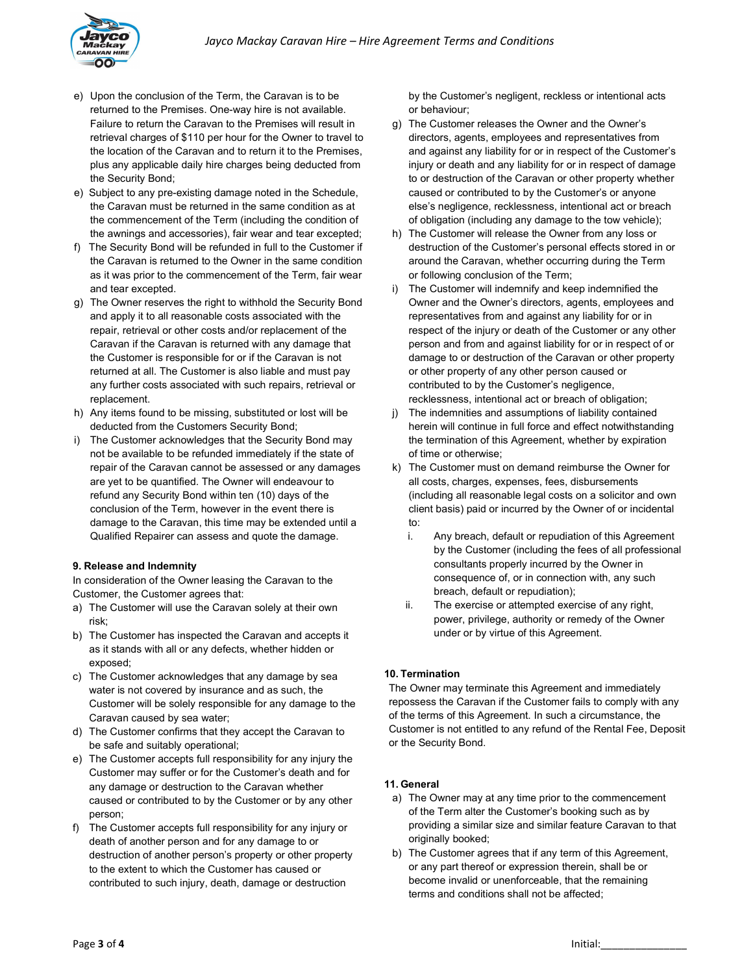

- e) Upon the conclusion of the Term, the Caravan is to be returned to the Premises. One-way hire is not available. Failure to return the Caravan to the Premises will result in retrieval charges of \$110 per hour for the Owner to travel to the location of the Caravan and to return it to the Premises, plus any applicable daily hire charges being deducted from the Security Bond;
- e) Subject to any pre-existing damage noted in the Schedule, the Caravan must be returned in the same condition as at the commencement of the Term (including the condition of the awnings and accessories), fair wear and tear excepted;
- f) The Security Bond will be refunded in full to the Customer if the Caravan is returned to the Owner in the same condition as it was prior to the commencement of the Term, fair wear and tear excepted.
- g) The Owner reserves the right to withhold the Security Bond and apply it to all reasonable costs associated with the repair, retrieval or other costs and/or replacement of the Caravan if the Caravan is returned with any damage that the Customer is responsible for or if the Caravan is not returned at all. The Customer is also liable and must pay any further costs associated with such repairs, retrieval or replacement.
- h) Any items found to be missing, substituted or lost will be deducted from the Customers Security Bond;
- i) The Customer acknowledges that the Security Bond may not be available to be refunded immediately if the state of repair of the Caravan cannot be assessed or any damages are yet to be quantified. The Owner will endeavour to refund any Security Bond within ten (10) days of the conclusion of the Term, however in the event there is damage to the Caravan, this time may be extended until a Qualified Repairer can assess and quote the damage.

### 9. Release and Indemnity

In consideration of the Owner leasing the Caravan to the Customer, the Customer agrees that:

- a) The Customer will use the Caravan solely at their own risk;
- b) The Customer has inspected the Caravan and accepts it as it stands with all or any defects, whether hidden or exposed;
- c) The Customer acknowledges that any damage by sea water is not covered by insurance and as such, the Customer will be solely responsible for any damage to the Caravan caused by sea water;
- d) The Customer confirms that they accept the Caravan to be safe and suitably operational;
- e) The Customer accepts full responsibility for any injury the Customer may suffer or for the Customer's death and for any damage or destruction to the Caravan whether caused or contributed to by the Customer or by any other person;
- f) The Customer accepts full responsibility for any injury or death of another person and for any damage to or destruction of another person's property or other property to the extent to which the Customer has caused or contributed to such injury, death, damage or destruction

by the Customer's negligent, reckless or intentional acts or behaviour;

- g) The Customer releases the Owner and the Owner's directors, agents, employees and representatives from and against any liability for or in respect of the Customer's injury or death and any liability for or in respect of damage to or destruction of the Caravan or other property whether caused or contributed to by the Customer's or anyone else's negligence, recklessness, intentional act or breach of obligation (including any damage to the tow vehicle);
- h) The Customer will release the Owner from any loss or destruction of the Customer's personal effects stored in or around the Caravan, whether occurring during the Term or following conclusion of the Term;
- i) The Customer will indemnify and keep indemnified the Owner and the Owner's directors, agents, employees and representatives from and against any liability for or in respect of the injury or death of the Customer or any other person and from and against liability for or in respect of or damage to or destruction of the Caravan or other property or other property of any other person caused or contributed to by the Customer's negligence, recklessness, intentional act or breach of obligation;
- j) The indemnities and assumptions of liability contained herein will continue in full force and effect notwithstanding the termination of this Agreement, whether by expiration of time or otherwise;
- k) The Customer must on demand reimburse the Owner for all costs, charges, expenses, fees, disbursements (including all reasonable legal costs on a solicitor and own client basis) paid or incurred by the Owner of or incidental to:
	- i. Any breach, default or repudiation of this Agreement by the Customer (including the fees of all professional consultants properly incurred by the Owner in consequence of, or in connection with, any such breach, default or repudiation);
	- ii. The exercise or attempted exercise of any right, power, privilege, authority or remedy of the Owner under or by virtue of this Agreement.

### 10. Termination

The Owner may terminate this Agreement and immediately repossess the Caravan if the Customer fails to comply with any of the terms of this Agreement. In such a circumstance, the Customer is not entitled to any refund of the Rental Fee, Deposit or the Security Bond.

### 11. General

- a) The Owner may at any time prior to the commencement of the Term alter the Customer's booking such as by providing a similar size and similar feature Caravan to that originally booked;
- b) The Customer agrees that if any term of this Agreement, or any part thereof or expression therein, shall be or become invalid or unenforceable, that the remaining terms and conditions shall not be affected;